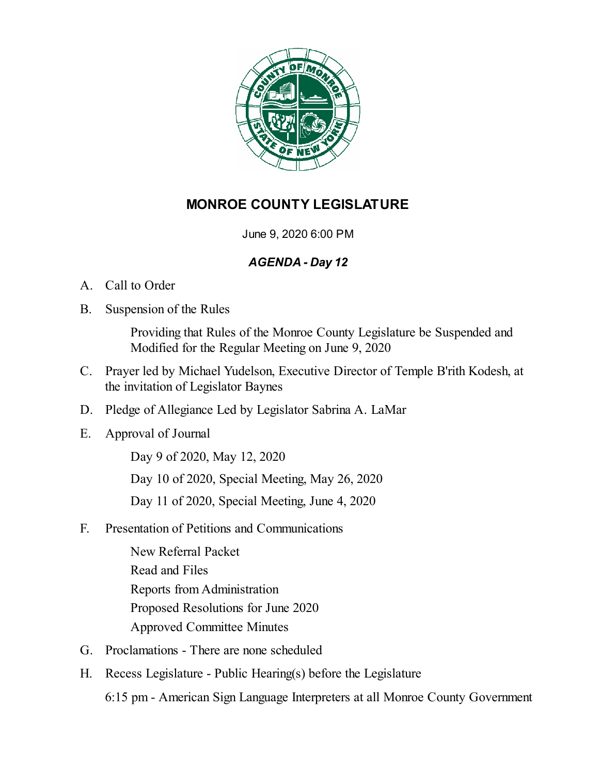

# **MONROE COUNTY LEGISLATURE**

June 9, 2020 6:00 PM

# *AGENDA - Day 12*

- A. Call to Order
- B. Suspension of the Rules

Providing that Rules of the Monroe County Legislature be Suspended and Modified for the Regular Meeting on June 9, 2020

- C. Prayer led by Michael Yudelson, Executive Director of Temple B'rith Kodesh, at the invitation of Legislator Baynes
- D. Pledge of Allegiance Led by Legislator Sabrina A. LaMar
- E. Approval of Journal

Day 9 of [2020,](file:///C:/Windows/TEMP/CoverSheet.aspx?ItemID=5551&MeetingID=525) May 12, 2020 Day 10 of 2020, Special [Meeting,](file:///C:/Windows/TEMP/CoverSheet.aspx?ItemID=5552&MeetingID=525) May 26, 2020

Day 11 of 2020, Special [Meeting,](file:///C:/Windows/TEMP/CoverSheet.aspx?ItemID=5558&MeetingID=525) June 4, 2020

F. Presentation of Petitions and Communications

New [Referral](file:///C:/Windows/TEMP/CoverSheet.aspx?ItemID=5553&MeetingID=525) Packet [Read](file:///C:/Windows/TEMP/CoverSheet.aspx?ItemID=5554&MeetingID=525) and Files Reports [fromAdministration](file:///C:/Windows/TEMP/CoverSheet.aspx?ItemID=5555&MeetingID=525) Proposed [Resolutions](file:///C:/Windows/TEMP/CoverSheet.aspx?ItemID=5556&MeetingID=525) for June 2020 Approved [Committee](file:///C:/Windows/TEMP/CoverSheet.aspx?ItemID=5561&MeetingID=525) Minutes

- G. Proclamations There are none scheduled
- H. Recess Legislature Public Hearing(s) before the Legislature 6:15 pm - American Sign Language Interpreters at all Monroe County Government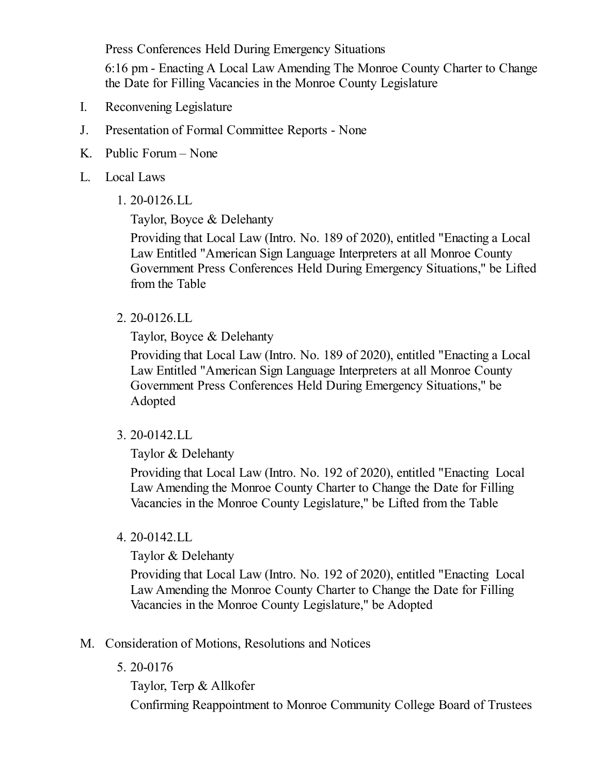Press Conferences Held During Emergency Situations

6:16 pm - Enacting A Local Law Amending The Monroe County Charter to Change the Date for Filling Vacancies in the Monroe County Legislature

- I. Reconvening Legislature
- J. Presentation of Formal Committee Reports None
- K. Public Forum None
- L. Local Laws
	- 1. [20-0126.LL](file:///C:/Windows/TEMP/CoverSheet.aspx?ItemID=5547&MeetingID=525)

Taylor, Boyce & Delehanty

Providing that Local Law (Intro. No. 189 of 2020), entitled "Enacting a Local Law Entitled "American Sign Language Interpreters at all Monroe County Government Press [Conferences](https://www.monroecounty.gov/etc/pdfjs/web/viewer.html?file=%2Fetc%2Flegftp%2Findex.php%3Fpdf%3D2020%2FDay 12%2FR20-0126.LL Lift from Table) Held During Emergency Situations," be Lifted from the Table

2. [20-0126.LL](file:///C:/Windows/TEMP/CoverSheet.aspx?ItemID=5549&MeetingID=525)

Taylor, Boyce & Delehanty

Providing that Local Law (Intro. No. 189 of 2020), entitled "Enacting a Local Law Entitled "American Sign Language Interpreters at all Monroe County Government Press [Conferences](https://www.monroecounty.gov/etc/pdfjs/web/viewer.html?file=%2Fetc%2Flegftp%2Findex.php%3Fpdf%3D2020%2FDay 12%2FR20-0126.LL Adopt) Held During Emergency Situations," be Adopted

3. [20-0142.LL](file:///C:/Windows/TEMP/CoverSheet.aspx?ItemID=5548&MeetingID=525)

Taylor & Delehanty

Providing that Local Law (Intro. No. 192 of 2020), entitled "Enacting Local Law Amending the Monroe County Charter to Change the Date for Filling Vacancies in the Monroe County [Legislature,"](https://www.monroecounty.gov/etc/pdfjs/web/viewer.html?file=%2Fetc%2Flegftp%2Findex.php%3Fpdf%3D2020%2FDay 12%2FR20-0142.LL Lift from Table) be Lifted from the Table

4. [20-0142.LL](file:///C:/Windows/TEMP/CoverSheet.aspx?ItemID=5550&MeetingID=525)

Taylor & Delehanty

Providing that Local Law (Intro. No. 192 of 2020), entitled "Enacting Local Law Amending the Monroe County Charter to Change the Date for Filling Vacancies in the Monroe County [Legislature,"](https://www.monroecounty.gov/etc/pdfjs/web/viewer.html?file=%2Fetc%2Flegftp%2Findex.php%3Fpdf%3D2020%2FDay 12%2FR20-0142.LL Adopt) be Adopted

- M. Consideration of Motions, Resolutions and Notices
	- 5. [20-0176](file:///C:/Windows/TEMP/CoverSheet.aspx?ItemID=5546&MeetingID=525)

Taylor, Terp & Allkofer

Confirming [Reappointment](https://www.monroecounty.gov/etc/pdfjs/web/viewer.html?file=%2Fetc%2Flegftp%2Findex.php%3Fpdf%3D2020%2FDay 12%2FR20-0176) to Monroe Community College Board of Trustees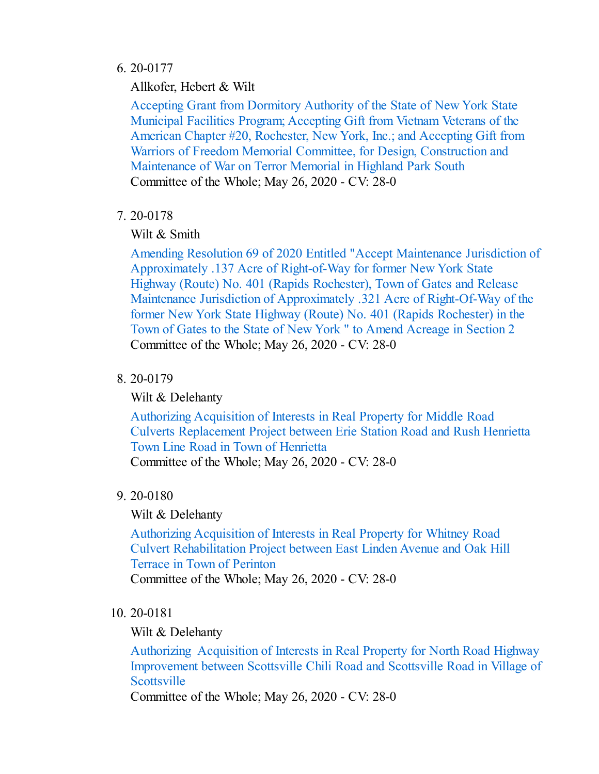### 6. [20-0177](file:///C:/Windows/TEMP/CoverSheet.aspx?ItemID=5526&MeetingID=525)

Allkofer, Hebert & Wilt

Accepting Grant from Dormitory Authority of the State of New York State Municipal Facilities Program; Accepting Gift from Vietnam Veterans of the American Chapter #20, Rochester, New York, Inc.; and Accepting Gift from Warriors of Freedom Memorial Committee, for Design, [Construction](https://www.monroecounty.gov/etc/pdfjs/web/viewer.html?file=%2Fetc%2Flegftp%2Findex.php%3Fpdf%3D2020%2FDay 10%2FR20-0177) and Maintenance of War on Terror Memorial in Highland Park South Committee of the Whole; May 26, 2020 - CV: 28-0

# 7. [20-0178](file:///C:/Windows/TEMP/CoverSheet.aspx?ItemID=5527&MeetingID=525)

# Wilt & Smith

Amending Resolution 69 of 2020 Entitled "Accept Maintenance Jurisdiction of [Approximately](https://www.monroecounty.gov/etc/pdfjs/web/viewer.html?file=%2Fetc%2Flegftp%2Findex.php%3Fpdf%3D2020%2FDay 10%2FR20-0178) .137 Acre of Right-of-Way for former New York State Highway (Route) No. 401 (Rapids Rochester), Town of Gates and Release Maintenance Jurisdiction of Approximately .321 Acre of Right-Of-Way of the former New York State Highway (Route) No. 401 (Rapids Rochester) in the Town of Gates to the State of New York " to Amend Acreage in Section 2 Committee of the Whole; May 26, 2020 - CV: 28-0

# 8. [20-0179](file:///C:/Windows/TEMP/CoverSheet.aspx?ItemID=5528&MeetingID=525)

Wilt & Delehanty

Authorizing Acquisition of Interests in Real Property for Middle Road Culverts [Replacement](https://www.monroecounty.gov/etc/pdfjs/web/viewer.html?file=%2Fetc%2Flegftp%2Findex.php%3Fpdf%3D2020%2FDay 10%2FR20-0179) Project between Erie Station Road and Rush Henrietta Town Line Road in Town of Henrietta

Committee of the Whole; May 26, 2020 - CV: 28-0

# 9. [20-0180](file:///C:/Windows/TEMP/CoverSheet.aspx?ItemID=5529&MeetingID=525)

# Wilt & Delehanty

Authorizing Acquisition of Interests in Real Property for Whitney Road Culvert [Rehabilitation](https://www.monroecounty.gov/etc/pdfjs/web/viewer.html?file=%2Fetc%2Flegftp%2Findex.php%3Fpdf%3D2020%2FDay 10%2FR20-0180) Project between East Linden Avenue and Oak Hill Terrace in Town of Perinton Committee of the Whole; May 26, 2020 - CV: 28-0

## 10. [20-0181](file:///C:/Windows/TEMP/CoverSheet.aspx?ItemID=5530&MeetingID=525)

## Wilt & Delehanty

Authorizing Acquisition of Interests in Real Property for North Road Highway [Improvement](https://www.monroecounty.gov/etc/pdfjs/web/viewer.html?file=%2Fetc%2Flegftp%2Findex.php%3Fpdf%3D2020%2FDay 10%2FR20-0181) between Scottsville Chili Road and Scottsville Road in Village of **Scottsville** 

Committee of the Whole; May 26, 2020 - CV: 28-0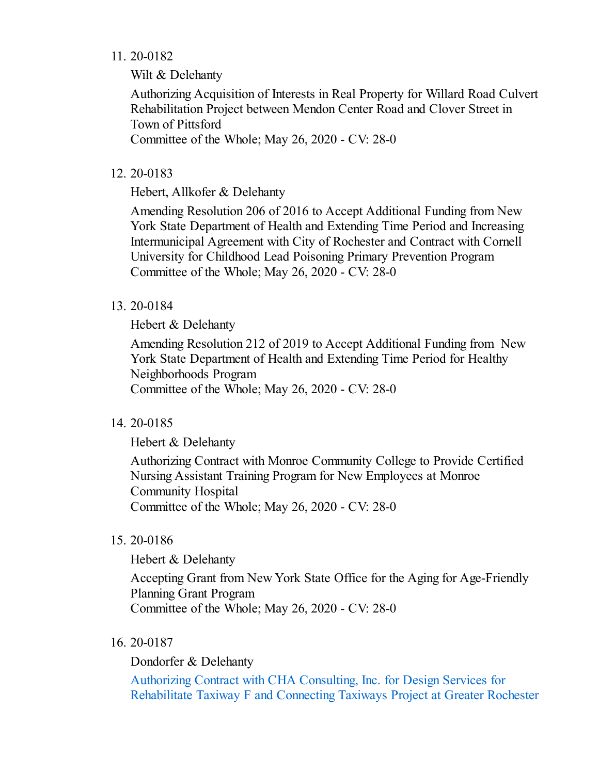### 11. [20-0182](file:///C:/Windows/TEMP/CoverSheet.aspx?ItemID=5531&MeetingID=525)

Wilt & Delehanty

Authorizing Acquisition of Interests in Real Property for Willard Road Culvert [Rehabilitation](https://www.monroecounty.gov/etc/pdfjs/web/viewer.html?file=%2Fetc%2Flegftp%2Findex.php%3Fpdf%3D2020%2FDay 10%2FR20-0182) Project between Mendon Center Road and Clover Street in Town of Pittsford

Committee of the Whole; May 26, 2020 - CV: 28-0

#### 12. [20-0183](file:///C:/Windows/TEMP/CoverSheet.aspx?ItemID=5532&MeetingID=525)

Hebert, Allkofer & Delehanty

Amending Resolution 206 of 2016 to Accept Additional Funding from New York State Department of Health and Extending Time Period and Increasing [Intermunicipal](https://www.monroecounty.gov/etc/pdfjs/web/viewer.html?file=%2Fetc%2Flegftp%2Findex.php%3Fpdf%3D2020%2FDay 10%2FR20-0183) Agreement with City of Rochester and Contract with Cornell University for Childhood Lead Poisoning Primary Prevention Program Committee of the Whole; May 26, 2020 - CV: 28-0

#### 13. [20-0184](file:///C:/Windows/TEMP/CoverSheet.aspx?ItemID=5533&MeetingID=525)

Hebert & Delehanty

Amending Resolution 212 of 2019 to Accept Additional Funding from New York State Department of Health and Extending Time Period for Healthy [Neighborhoods](https://www.monroecounty.gov/etc/pdfjs/web/viewer.html?file=%2Fetc%2Flegftp%2Findex.php%3Fpdf%3D2020%2FDay 10%2FR20-0184) Program Committee of the Whole; May 26, 2020 - CV: 28-0

### 14. [20-0185](file:///C:/Windows/TEMP/CoverSheet.aspx?ItemID=5534&MeetingID=525)

Hebert & Delehanty

[Authorizing](https://www.monroecounty.gov/etc/pdfjs/web/viewer.html?file=%2Fetc%2Flegftp%2Findex.php%3Fpdf%3D2020%2FDay 10%2FR20-0185) Contract with Monroe Community College to Provide Certified Nursing Assistant Training Program for New Employees at Monroe Community Hospital Committee of the Whole; May 26, 2020 - CV: 28-0

#### 15. [20-0186](file:///C:/Windows/TEMP/CoverSheet.aspx?ItemID=5535&MeetingID=525)

Hebert & Delehanty

Accepting Grant from New York State Office for the Aging for [Age-Friendly](https://www.monroecounty.gov/etc/pdfjs/web/viewer.html?file=%2Fetc%2Flegftp%2Findex.php%3Fpdf%3D2020%2FDay 10%2FR20-0186) Planning Grant Program Committee of the Whole; May 26, 2020 - CV: 28-0

#### 16. [20-0187](file:///C:/Windows/TEMP/CoverSheet.aspx?ItemID=5536&MeetingID=525)

Dondorfer & Delehanty

Authorizing Contract with CHA Consulting, Inc. for Design Services for [Rehabilitate](https://www.monroecounty.gov/etc/pdfjs/web/viewer.html?file=%2Fetc%2Flegftp%2Findex.php%3Fpdf%3D2020%2FDay 10%2FR20-0187) Taxiway F and Connecting Taxiways Project at Greater Rochester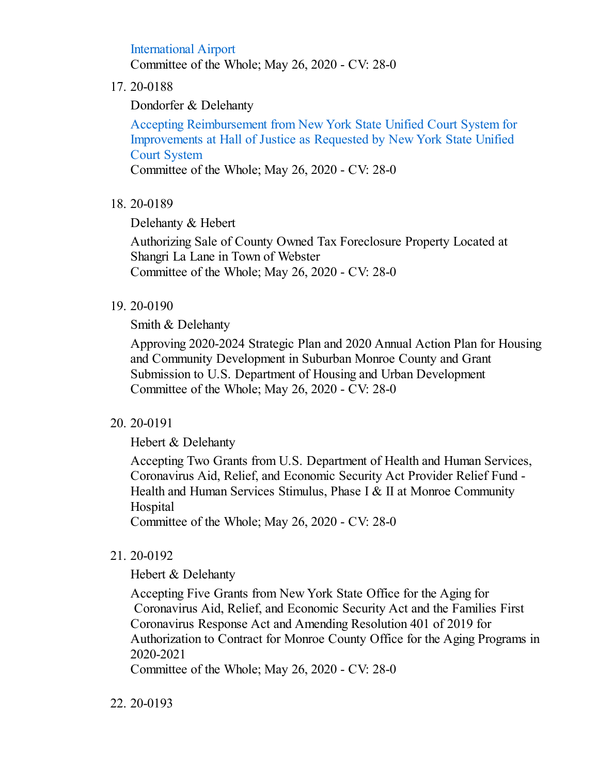International Airport Committee of the Whole; May 26, 2020 - CV: 28-0

#### 17. [20-0188](file:///C:/Windows/TEMP/CoverSheet.aspx?ItemID=5537&MeetingID=525)

Dondorfer & Delehanty

Accepting [Reimbursement](https://www.monroecounty.gov/etc/pdfjs/web/viewer.html?file=%2Fetc%2Flegftp%2Findex.php%3Fpdf%3D2020%2FDay 10%2FR20-0188) from New York State Unified Court System for Improvements at Hall of Justice as Requested by New York State Unified Court System

Committee of the Whole; May 26, 2020 - CV: 28-0

### 18. [20-0189](file:///C:/Windows/TEMP/CoverSheet.aspx?ItemID=5538&MeetingID=525)

Delehanty & Hebert

Authorizing Sale of County Owned Tax [Foreclosure](https://www.monroecounty.gov/etc/pdfjs/web/viewer.html?file=%2Fetc%2Flegftp%2Findex.php%3Fpdf%3D2020%2FDay 10%2FR20-0189) Property Located at Shangri La Lane in Town of Webster Committee of the Whole; May 26, 2020 - CV: 28-0

#### 19. [20-0190](file:///C:/Windows/TEMP/CoverSheet.aspx?ItemID=5539&MeetingID=525)

Smith & Delehanty

Approving 2020-2024 Strategic Plan and 2020 Annual Action Plan for Housing and Community [Development](https://www.monroecounty.gov/etc/pdfjs/web/viewer.html?file=%2Fetc%2Flegftp%2Findex.php%3Fpdf%3D2020%2FDay 10%2FR20-0190) in Suburban Monroe County and Grant Submission to U.S. Department of Housing and Urban Development Committee of the Whole; May 26, 2020 - CV: 28-0

### 20. [20-0191](file:///C:/Windows/TEMP/CoverSheet.aspx?ItemID=5540&MeetingID=525)

Hebert & Delehanty

Accepting Two Grants from U.S. Department of Health and Human Services, [Coronavirus](https://www.monroecounty.gov/etc/pdfjs/web/viewer.html?file=%2Fetc%2Flegftp%2Findex.php%3Fpdf%3D2020%2FDay 10%2FR20-0191) Aid, Relief, and Economic Security Act Provider Relief Fund - Health and Human Services Stimulus, Phase I & II at Monroe Community **Hospital** 

Committee of the Whole; May 26, 2020 - CV: 28-0

### 21. [20-0192](file:///C:/Windows/TEMP/CoverSheet.aspx?ItemID=5541&MeetingID=525)

Hebert & Delehanty

Accepting Five Grants from New York State Office for the Aging for Coronavirus Aid, Relief, and Economic Security Act and the Families First Coronavirus Response Act and Amending Resolution 401 of 2019 for [Authorization](https://www.monroecounty.gov/etc/pdfjs/web/viewer.html?file=%2Fetc%2Flegftp%2Findex.php%3Fpdf%3D2020%2FDay 10%2FR20-0192) to Contract for Monroe County Office for the Aging Programs in 2020-2021

Committee of the Whole; May 26, 2020 - CV: 28-0

#### 22. [20-0193](file:///C:/Windows/TEMP/CoverSheet.aspx?ItemID=5542&MeetingID=525)